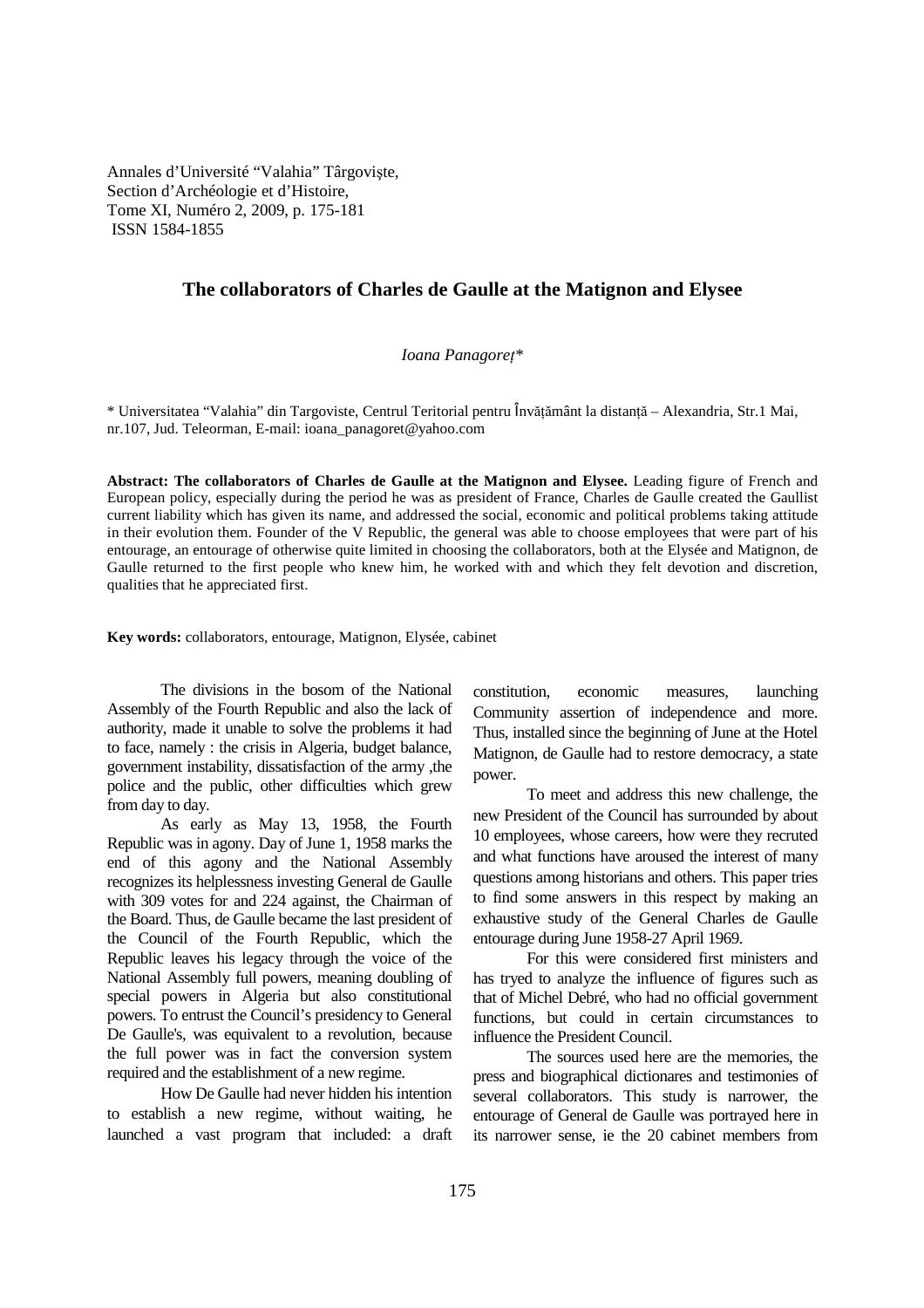Annales d'Université "Valahia" Târgovişte, Section d'Archéologie et d'Histoire, Tome XI, Numéro 2, 2009, p. 175-181 ISSN 1584-1855

# **The collaborators of Charles de Gaulle at the Matignon and Elysee**

### $Ioana Panagore<sup>*</sup>$

\* Universitatea "Valahia" din Targoviste, Centrul Teritorial pentru Învătământ la distantă – Alexandria, Str.1 Mai, nr.107, Jud. Teleorman, E-mail: ioana\_panagoret@yahoo.com

**Abstract: The collaborators of Charles de Gaulle at the Matignon and Elysee.** Leading figure of French and European policy, especially during the period he was as president of France, Charles de Gaulle created the Gaullist current liability which has given its name, and addressed the social, economic and political problems taking attitude in their evolution them. Founder of the V Republic, the general was able to choose employees that were part of his entourage, an entourage of otherwise quite limited in choosing the collaborators, both at the Elysée and Matignon, de Gaulle returned to the first people who knew him, he worked with and which they felt devotion and discretion, qualities that he appreciated first.

**Key words:** collaborators, entourage, Matignon, Elysée, cabinet

The divisions in the bosom of the National Assembly of the Fourth Republic and also the lack of authority, made it unable to solve the problems it had to face, namely : the crisis in Algeria, budget balance, government instability, dissatisfaction of the army ,the police and the public, other difficulties which grew from day to day.

As early as May 13, 1958, the Fourth Republic was in agony. Day of June 1, 1958 marks the end of this agony and the National Assembly recognizes its helplessness investing General de Gaulle with 309 votes for and 224 against, the Chairman of the Board. Thus, de Gaulle became the last president of the Council of the Fourth Republic, which the Republic leaves his legacy through the voice of the National Assembly full powers, meaning doubling of special powers in Algeria but also constitutional powers. To entrust the Council's presidency to General De Gaulle's, was equivalent to a revolution, because the full power was in fact the conversion system required and the establishment of a new regime.

How De Gaulle had never hidden his intention to establish a new regime, without waiting, he launched a vast program that included: a draft constitution, economic measures, launching Community assertion of independence and more. Thus, installed since the beginning of June at the Hotel Matignon, de Gaulle had to restore democracy, a state power.

To meet and address this new challenge, the new President of the Council has surrounded by about 10 employees, whose careers, how were they recruted and what functions have aroused the interest of many questions among historians and others. This paper tries to find some answers in this respect by making an exhaustive study of the General Charles de Gaulle entourage during June 1958-27 April 1969.

For this were considered first ministers and has tryed to analyze the influence of figures such as that of Michel Debré, who had no official government functions, but could in certain circumstances to influence the President Council.

The sources used here are the memories, the press and biographical dictionares and testimonies of several collaborators. This study is narrower, the entourage of General de Gaulle was portrayed here in its narrower sense, ie the 20 cabinet members from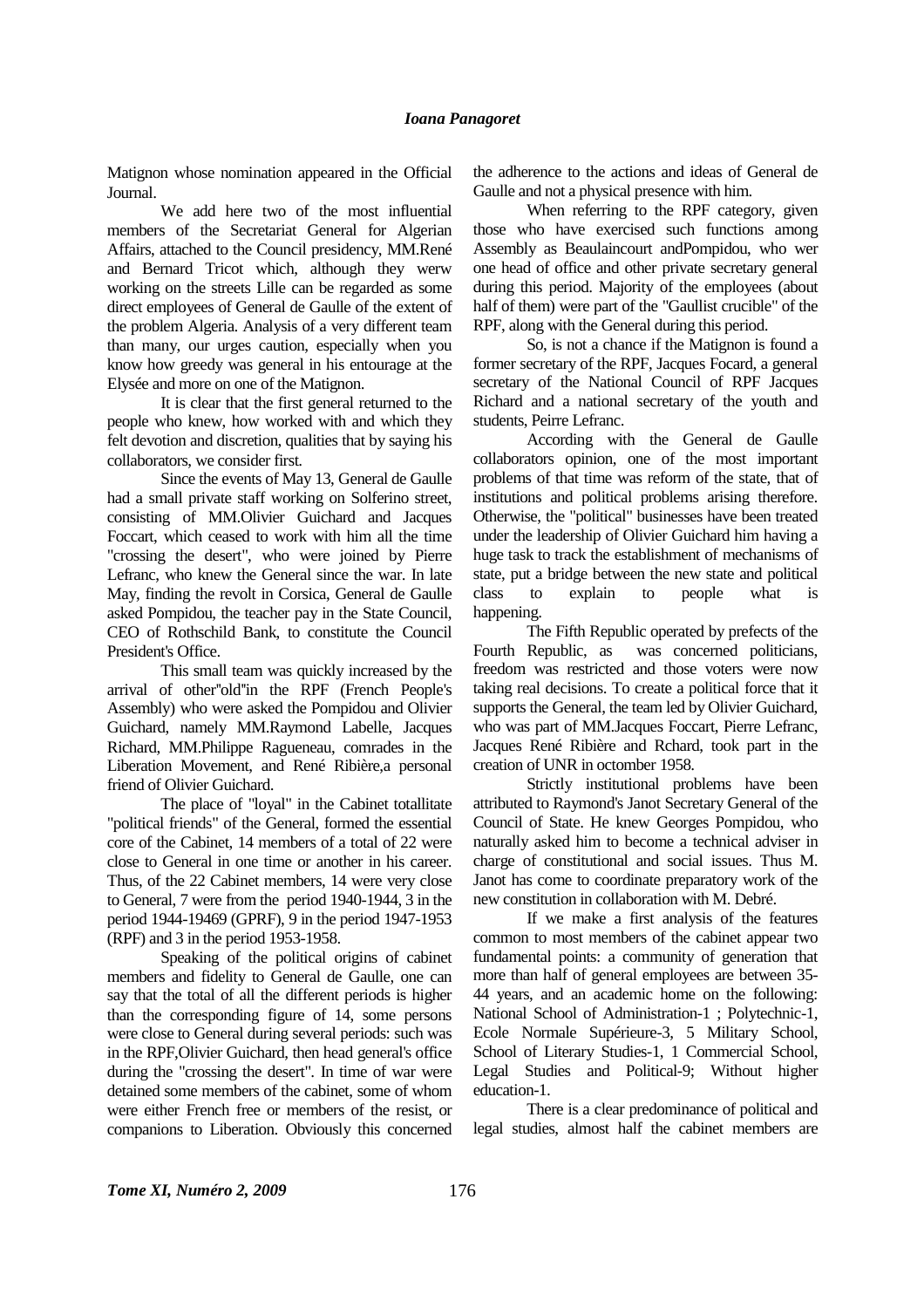Matignon whose nomination appeared in the Official Journal.

We add here two of the most influential members of the Secretariat General for Algerian Affairs, attached to the Council presidency, MM.René and Bernard Tricot which, although they werw working on the streets Lille can be regarded as some direct employees of General de Gaulle of the extent of the problem Algeria. Analysis of a very different team than many, our urges caution, especially when you know how greedy was general in his entourage at the Elysée and more on one of the Matignon.

It is clear that the first general returned to the people who knew, how worked with and which they felt devotion and discretion, qualities that by saying his collaborators, we consider first.

Since the events of May 13, General de Gaulle had a small private staff working on Solferino street, consisting of MM.Olivier Guichard and Jacques Foccart, which ceased to work with him all the time "crossing the desert", who were joined by Pierre Lefranc, who knew the General since the war. In late May, finding the revolt in Corsica, General de Gaulle asked Pompidou, the teacher pay in the State Council, CEO of Rothschild Bank, to constitute the Council President's Office.

This small team was quickly increased by the arrival of other''old''in the RPF (French People's Assembly) who were asked the Pompidou and Olivier Guichard, namely MM.Raymond Labelle, Jacques Richard, MM.Philippe Ragueneau, comrades in the Liberation Movement, and René Ribière,a personal friend of Olivier Guichard.

The place of "loyal" in the Cabinet totallitate "political friends" of the General, formed the essential core of the Cabinet, 14 members of a total of 22 were close to General in one time or another in his career. Thus, of the 22 Cabinet members, 14 were very close to General, 7 were from the period 1940-1944, 3 in the period 1944-19469 (GPRF), 9 in the period 1947-1953 (RPF) and 3 in the period 1953-1958.

Speaking of the political origins of cabinet members and fidelity to General de Gaulle, one can say that the total of all the different periods is higher than the corresponding figure of 14, some persons were close to General during several periods: such was in the RPF,Olivier Guichard, then head general's office during the "crossing the desert". In time of war were detained some members of the cabinet, some of whom were either French free or members of the resist, or companions to Liberation. Obviously this concerned the adherence to the actions and ideas of General de Gaulle and not a physical presence with him.

When referring to the RPF category, given those who have exercised such functions among Assembly as Beaulaincourt andPompidou, who wer one head of office and other private secretary general during this period. Majority of the employees (about half of them) were part of the "Gaullist crucible" of the RPF, along with the General during this period.

So, is not a chance if the Matignon is found a former secretary of the RPF, Jacques Focard, a general secretary of the National Council of RPF Jacques Richard and a national secretary of the youth and students, Peirre Lefranc.

According with the General de Gaulle collaborators opinion, one of the most important problems of that time was reform of the state, that of institutions and political problems arising therefore. Otherwise, the "political" businesses have been treated under the leadership of Olivier Guichard him having a huge task to track the establishment of mechanisms of state, put a bridge between the new state and political class to explain to people what is happening.

The Fifth Republic operated by prefects of the Fourth Republic, as was concerned politicians, freedom was restricted and those voters were now taking real decisions. To create a political force that it supports the General, the team led by Olivier Guichard, who was part of MM.Jacques Foccart, Pierre Lefranc, Jacques René Ribière and Rchard, took part in the creation of UNR in octomber 1958.

Strictly institutional problems have been attributed to Raymond's Janot Secretary General of the Council of State. He knew Georges Pompidou, who naturally asked him to become a technical adviser in charge of constitutional and social issues. Thus M. Janot has come to coordinate preparatory work of the new constitution in collaboration with M. Debré.

If we make a first analysis of the features common to most members of the cabinet appear two fundamental points: a community of generation that more than half of general employees are between 35- 44 years, and an academic home on the following: National School of Administration-1 ; Polytechnic-1, Ecole Normale Supérieure-3, 5 Military School, School of Literary Studies-1, 1 Commercial School, Legal Studies and Political-9; Without higher education-1.

There is a clear predominance of political and legal studies, almost half the cabinet members are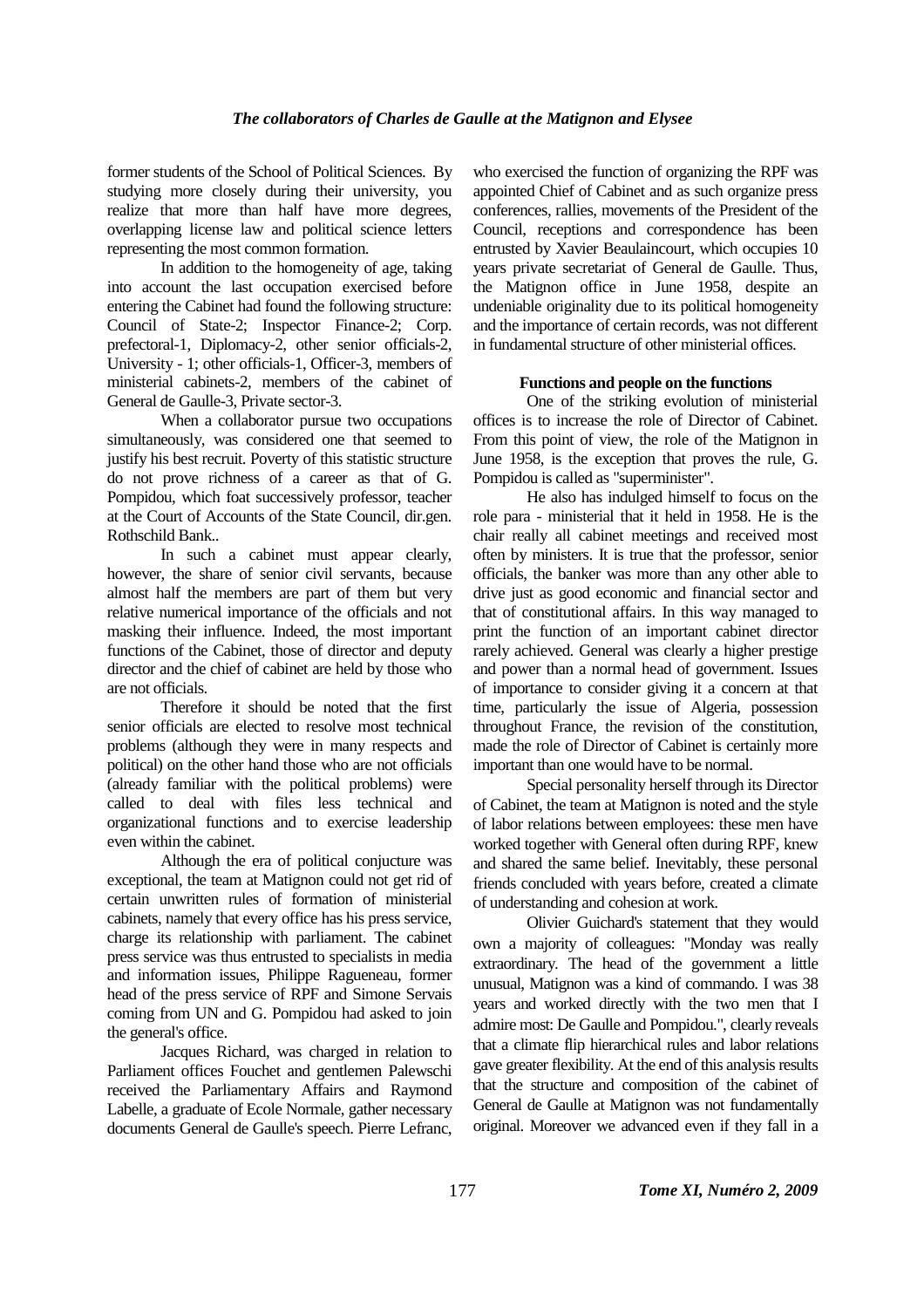former students of the School of Political Sciences. By studying more closely during their university, you realize that more than half have more degrees, overlapping license law and political science letters representing the most common formation.

In addition to the homogeneity of age, taking into account the last occupation exercised before entering the Cabinet had found the following structure: Council of State-2; Inspector Finance-2; Corp. prefectoral-1, Diplomacy-2, other senior officials-2, University - 1; other officials-1, Officer-3, members of ministerial cabinets-2, members of the cabinet of General de Gaulle-3, Private sector-3.

When a collaborator pursue two occupations simultaneously, was considered one that seemed to justify his best recruit. Poverty of this statistic structure do not prove richness of a career as that of G. Pompidou, which foat successively professor, teacher at the Court of Accounts of the State Council, dir.gen. Rothschild Bank..

In such a cabinet must appear clearly, however, the share of senior civil servants, because almost half the members are part of them but very relative numerical importance of the officials and not masking their influence. Indeed, the most important functions of the Cabinet, those of director and deputy director and the chief of cabinet are held by those who are not officials.

Therefore it should be noted that the first senior officials are elected to resolve most technical problems (although they were in many respects and political) on the other hand those who are not officials (already familiar with the political problems) were called to deal with files less technical and organizational functions and to exercise leadership even within the cabinet.

Although the era of political conjucture was exceptional, the team at Matignon could not get rid of certain unwritten rules of formation of ministerial cabinets, namely that every office has his press service, charge its relationship with parliament. The cabinet press service was thus entrusted to specialists in media and information issues, Philippe Ragueneau, former head of the press service of RPF and Simone Servais coming from UN and G. Pompidou had asked to join the general's office.

Jacques Richard, was charged in relation to Parliament offices Fouchet and gentlemen Palewschi received the Parliamentary Affairs and Raymond Labelle, a graduate of Ecole Normale, gather necessary documents General de Gaulle's speech. Pierre Lefranc,

who exercised the function of organizing the RPF was appointed Chief of Cabinet and as such organize press conferences, rallies, movements of the President of the Council, receptions and correspondence has been entrusted by Xavier Beaulaincourt, which occupies 10 years private secretariat of General de Gaulle. Thus, the Matignon office in June 1958, despite an undeniable originality due to its political homogeneity and the importance of certain records, was not different in fundamental structure of other ministerial offices.

#### **Functions and people on the functions**

One of the striking evolution of ministerial offices is to increase the role of Director of Cabinet. From this point of view, the role of the Matignon in June 1958, is the exception that proves the rule, G. Pompidou is called as "superminister".

He also has indulged himself to focus on the role para - ministerial that it held in 1958. He is the chair really all cabinet meetings and received most often by ministers. It is true that the professor, senior officials, the banker was more than any other able to drive just as good economic and financial sector and that of constitutional affairs. In this way managed to print the function of an important cabinet director rarely achieved. General was clearly a higher prestige and power than a normal head of government. Issues of importance to consider giving it a concern at that time, particularly the issue of Algeria, possession throughout France, the revision of the constitution, made the role of Director of Cabinet is certainly more important than one would have to be normal.

Special personality herself through its Director of Cabinet, the team at Matignon is noted and the style of labor relations between employees: these men have worked together with General often during RPF, knew and shared the same belief. Inevitably, these personal friends concluded with years before, created a climate of understanding and cohesion at work.

Olivier Guichard's statement that they would own a majority of colleagues: "Monday was really extraordinary. The head of the government a little unusual, Matignon was a kind of commando. I was 38 years and worked directly with the two men that I admire most: De Gaulle and Pompidou.", clearly reveals that a climate flip hierarchical rules and labor relations gave greater flexibility. At the end of this analysis results that the structure and composition of the cabinet of General de Gaulle at Matignon was not fundamentally original. Moreover we advanced even if they fall in a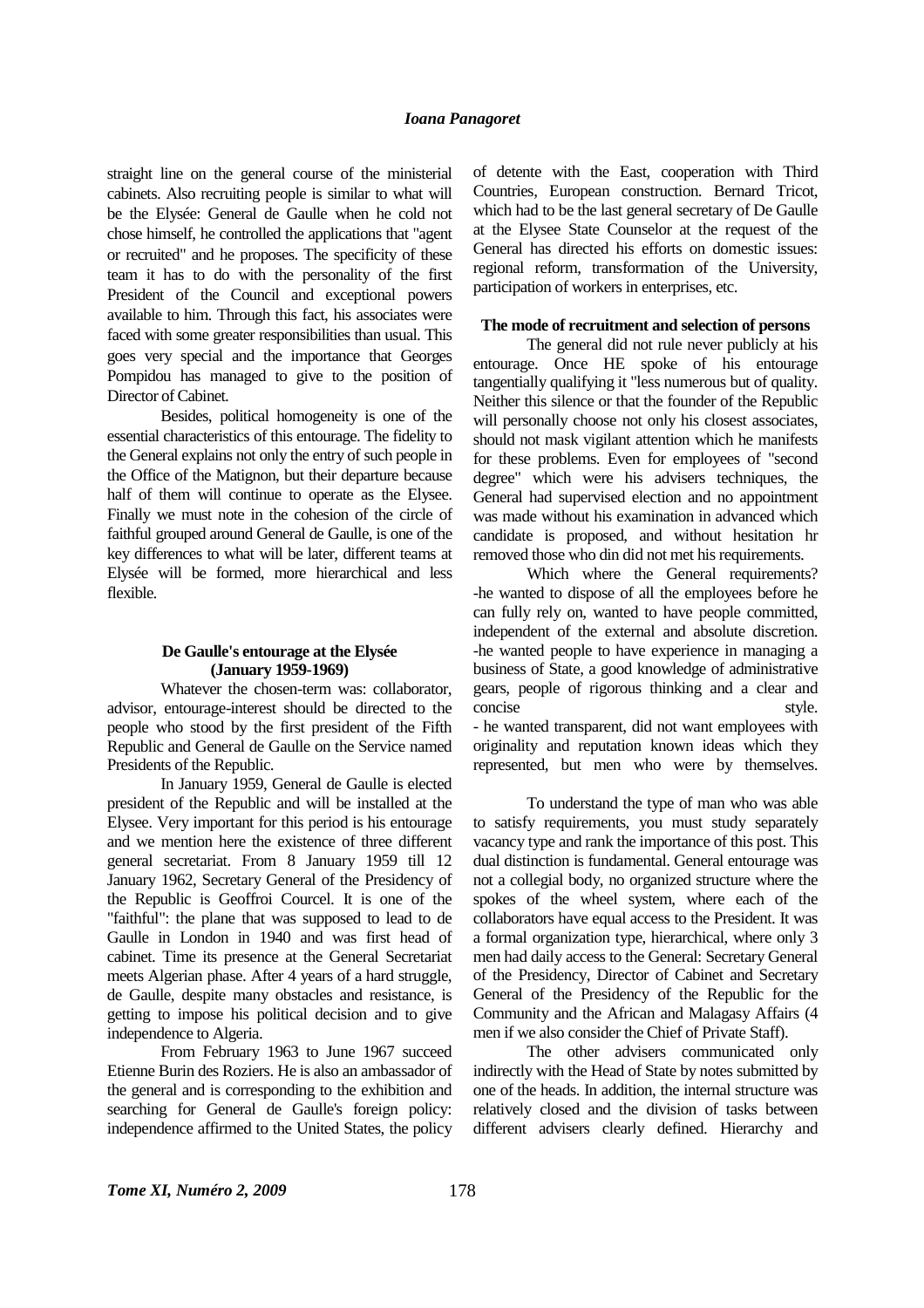straight line on the general course of the ministerial cabinets. Also recruiting people is similar to what will be the Elysée: General de Gaulle when he cold not chose himself, he controlled the applications that "agent or recruited" and he proposes. The specificity of these team it has to do with the personality of the first President of the Council and exceptional powers available to him. Through this fact, his associates were faced with some greater responsibilities than usual. This goes very special and the importance that Georges Pompidou has managed to give to the position of Director of Cabinet.

Besides, political homogeneity is one of the essential characteristics of this entourage. The fidelity to the General explains not only the entry of such people in the Office of the Matignon, but their departure because half of them will continue to operate as the Elysee. Finally we must note in the cohesion of the circle of faithful grouped around General de Gaulle, is one of the key differences to what will be later, different teams at Elysée will be formed, more hierarchical and less flexible.

#### **De Gaulle's entourage at the Elysée (January 1959-1969)**

Whatever the chosen-term was: collaborator, advisor, entourage-interest should be directed to the people who stood by the first president of the Fifth Republic and General de Gaulle on the Service named Presidents of the Republic.

In January 1959, General de Gaulle is elected president of the Republic and will be installed at the Elysee. Very important for this period is his entourage and we mention here the existence of three different general secretariat. From 8 January 1959 till 12 January 1962, Secretary General of the Presidency of the Republic is Geoffroi Courcel. It is one of the "faithful": the plane that was supposed to lead to de Gaulle in London in 1940 and was first head of cabinet. Time its presence at the General Secretariat meets Algerian phase. After 4 years of a hard struggle, de Gaulle, despite many obstacles and resistance, is getting to impose his political decision and to give independence to Algeria.

From February 1963 to June 1967 succeed Etienne Burin des Roziers. He is also an ambassador of the general and is corresponding to the exhibition and searching for General de Gaulle's foreign policy: independence affirmed to the United States, the policy

of detente with the East, cooperation with Third Countries, European construction. Bernard Tricot, which had to be the last general secretary of De Gaulle at the Elysee State Counselor at the request of the General has directed his efforts on domestic issues: regional reform, transformation of the University, participation of workers in enterprises, etc.

#### **The mode of recruitment and selection of persons**

The general did not rule never publicly at his entourage. Once HE spoke of his entourage tangentially qualifying it "less numerous but of quality. Neither this silence or that the founder of the Republic will personally choose not only his closest associates, should not mask vigilant attention which he manifests for these problems. Even for employees of "second degree" which were his advisers techniques, the General had supervised election and no appointment was made without his examination in advanced which candidate is proposed, and without hesitation hr removed those who din did not met his requirements.

Which where the General requirements? -he wanted to dispose of all the employees before he can fully rely on, wanted to have people committed, independent of the external and absolute discretion. -he wanted people to have experience in managing a business of State, a good knowledge of administrative gears, people of rigorous thinking and a clear and concise style. - he wanted transparent, did not want employees with originality and reputation known ideas which they represented, but men who were by themselves.

To understand the type of man who was able to satisfy requirements, you must study separately vacancy type and rank the importance of this post. This dual distinction is fundamental. General entourage was not a collegial body, no organized structure where the spokes of the wheel system, where each of the collaborators have equal access to the President. It was a formal organization type, hierarchical, where only 3 men had daily access to the General: Secretary General of the Presidency, Director of Cabinet and Secretary General of the Presidency of the Republic for the Community and the African and Malagasy Affairs (4 men if we also consider the Chief of Private Staff).

The other advisers communicated only indirectly with the Head of State by notes submitted by one of the heads. In addition, the internal structure was relatively closed and the division of tasks between different advisers clearly defined. Hierarchy and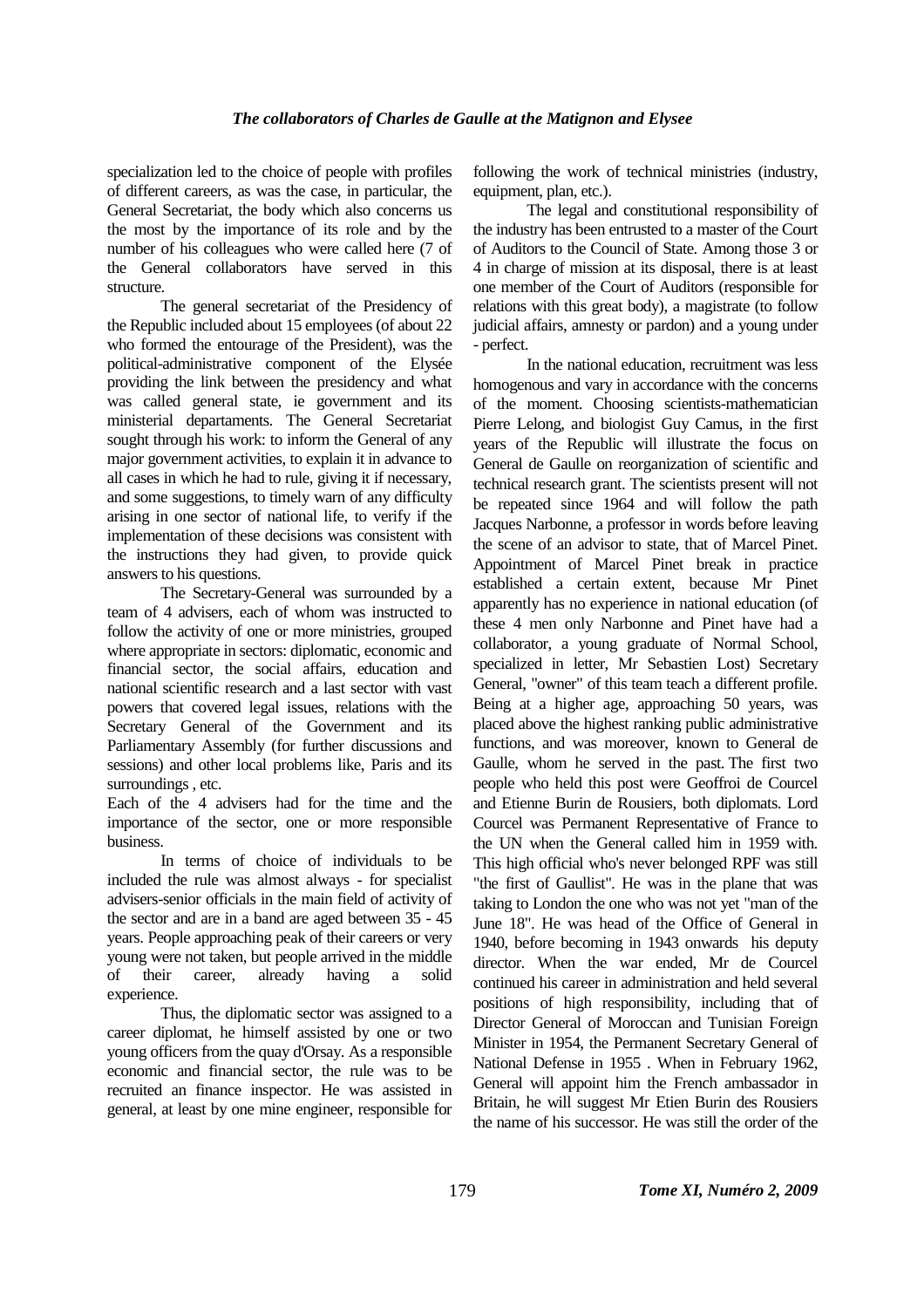specialization led to the choice of people with profiles of different careers, as was the case, in particular, the General Secretariat, the body which also concerns us the most by the importance of its role and by the number of his colleagues who were called here (7 of the General collaborators have served in this structure.

The general secretariat of the Presidency of the Republic included about 15 employees (of about 22 who formed the entourage of the President), was the political-administrative component of the Elysée providing the link between the presidency and what was called general state, ie government and its ministerial departaments. The General Secretariat sought through his work: to inform the General of any major government activities, to explain it in advance to all cases in which he had to rule, giving it if necessary, and some suggestions, to timely warn of any difficulty arising in one sector of national life, to verify if the implementation of these decisions was consistent with the instructions they had given, to provide quick answers to his questions.

The Secretary-General was surrounded by a team of 4 advisers, each of whom was instructed to follow the activity of one or more ministries, grouped where appropriate in sectors: diplomatic, economic and financial sector, the social affairs, education and national scientific research and a last sector with vast powers that covered legal issues, relations with the Secretary General of the Government and its Parliamentary Assembly (for further discussions and sessions) and other local problems like, Paris and its surroundings , etc.

Each of the 4 advisers had for the time and the importance of the sector, one or more responsible business.

In terms of choice of individuals to be included the rule was almost always - for specialist advisers-senior officials in the main field of activity of the sector and are in a band are aged between 35 - 45 years. People approaching peak of their careers or very young were not taken, but people arrived in the middle of their career, already having a solid experience.

Thus, the diplomatic sector was assigned to a career diplomat, he himself assisted by one or two young officers from the quay d'Orsay. As a responsible economic and financial sector, the rule was to be recruited an finance inspector. He was assisted in general, at least by one mine engineer, responsible for

following the work of technical ministries (industry, equipment, plan, etc.).

The legal and constitutional responsibility of the industry has been entrusted to a master of the Court of Auditors to the Council of State. Among those 3 or 4 in charge of mission at its disposal, there is at least one member of the Court of Auditors (responsible for relations with this great body), a magistrate (to follow judicial affairs, amnesty or pardon) and a young under - perfect.

In the national education, recruitment was less homogenous and vary in accordance with the concerns of the moment. Choosing scientists-mathematician Pierre Lelong, and biologist Guy Camus, in the first years of the Republic will illustrate the focus on General de Gaulle on reorganization of scientific and technical research grant. The scientists present will not be repeated since 1964 and will follow the path Jacques Narbonne, a professor in words before leaving the scene of an advisor to state, that of Marcel Pinet. Appointment of Marcel Pinet break in practice established a certain extent, because Mr Pinet apparently has no experience in national education (of these 4 men only Narbonne and Pinet have had a collaborator, a young graduate of Normal School, specialized in letter, Mr Sebastien Lost) Secretary General, "owner" of this team teach a different profile. Being at a higher age, approaching 50 years, was placed above the highest ranking public administrative functions, and was moreover, known to General de Gaulle, whom he served in the past. The first two people who held this post were Geoffroi de Courcel and Etienne Burin de Rousiers, both diplomats. Lord Courcel was Permanent Representative of France to the UN when the General called him in 1959 with. This high official who's never belonged RPF was still "the first of Gaullist". He was in the plane that was taking to London the one who was not yet "man of the June 18". He was head of the Office of General in 1940, before becoming in 1943 onwards his deputy director. When the war ended, Mr de Courcel continued his career in administration and held several positions of high responsibility, including that of Director General of Moroccan and Tunisian Foreign Minister in 1954, the Permanent Secretary General of National Defense in 1955 . When in February 1962, General will appoint him the French ambassador in Britain, he will suggest Mr Etien Burin des Rousiers the name of his successor. He was still the order of the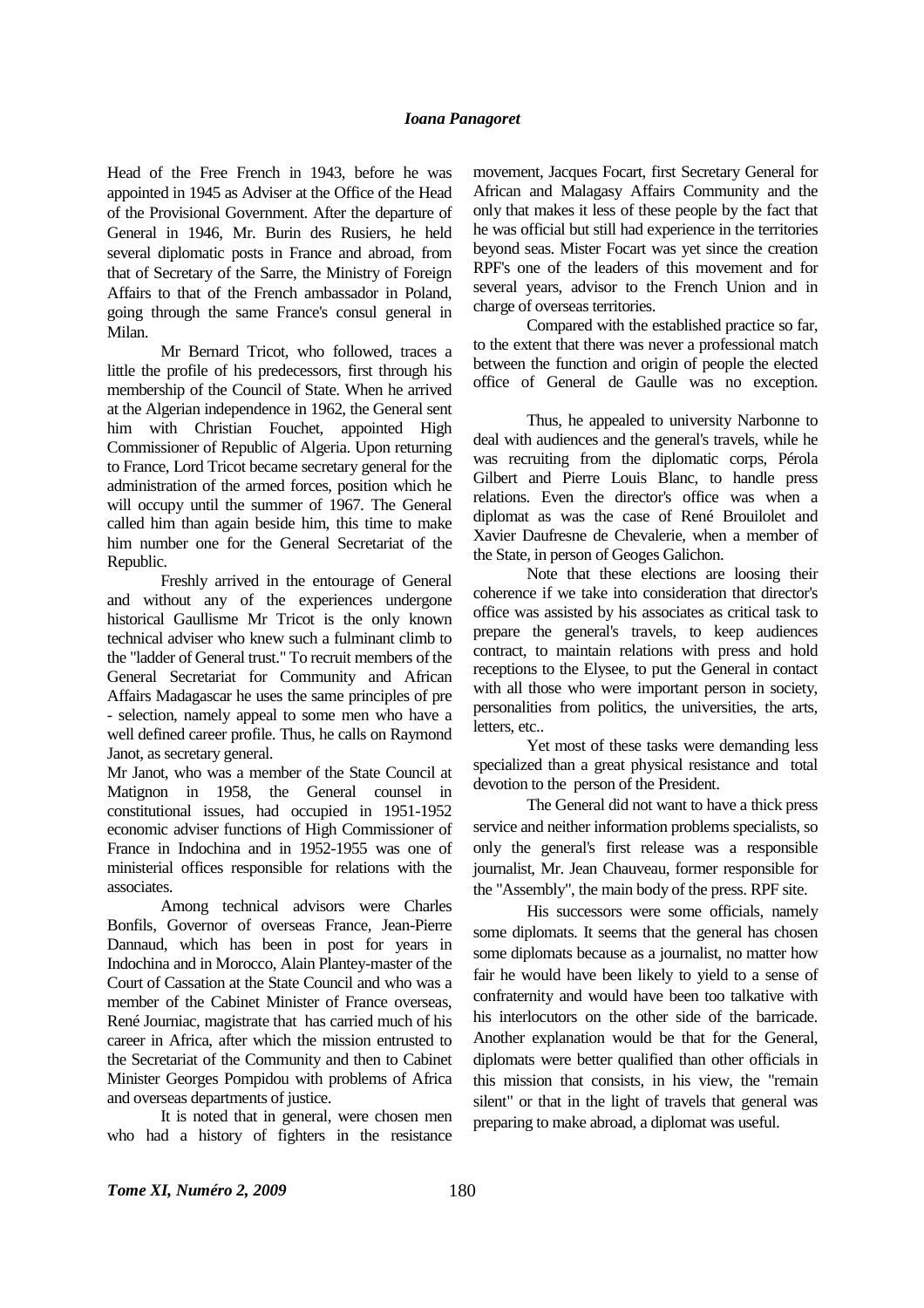Head of the Free French in 1943, before he was appointed in 1945 as Adviser at the Office of the Head of the Provisional Government. After the departure of General in 1946, Mr. Burin des Rusiers, he held several diplomatic posts in France and abroad, from that of Secretary of the Sarre, the Ministry of Foreign Affairs to that of the French ambassador in Poland, going through the same France's consul general in Milan.

Mr Bernard Tricot, who followed, traces a little the profile of his predecessors, first through his membership of the Council of State. When he arrived at the Algerian independence in 1962, the General sent him with Christian Fouchet, appointed High Commissioner of Republic of Algeria. Upon returning to France, Lord Tricot became secretary general for the administration of the armed forces, position which he will occupy until the summer of 1967. The General called him than again beside him, this time to make him number one for the General Secretariat of the Republic.

Freshly arrived in the entourage of General and without any of the experiences undergone historical Gaullisme Mr Tricot is the only known technical adviser who knew such a fulminant climb to the "ladder of General trust." To recruit members of the General Secretariat for Community and African Affairs Madagascar he uses the same principles of pre - selection, namely appeal to some men who have a well defined career profile. Thus, he calls on Raymond Janot, as secretary general.

Mr Janot, who was a member of the State Council at Matignon in 1958, the General counsel in constitutional issues, had occupied in 1951-1952 economic adviser functions of High Commissioner of France in Indochina and in 1952-1955 was one of ministerial offices responsible for relations with the associates.

Among technical advisors were Charles Bonfils, Governor of overseas France, Jean-Pierre Dannaud, which has been in post for years in Indochina and in Morocco, Alain Plantey-master of the Court of Cassation at the State Council and who was a member of the Cabinet Minister of France overseas, René Journiac, magistrate that has carried much of his career in Africa, after which the mission entrusted to the Secretariat of the Community and then to Cabinet Minister Georges Pompidou with problems of Africa and overseas departments of justice.

It is noted that in general, were chosen men who had a history of fighters in the resistance

movement, Jacques Focart, first Secretary General for African and Malagasy Affairs Community and the only that makes it less of these people by the fact that he was official but still had experience in the territories beyond seas. Mister Focart was yet since the creation RPF's one of the leaders of this movement and for several years, advisor to the French Union and in charge of overseas territories.

Compared with the established practice so far, to the extent that there was never a professional match between the function and origin of people the elected office of General de Gaulle was no exception.

Thus, he appealed to university Narbonne to deal with audiences and the general's travels, while he was recruiting from the diplomatic corps, Pérola Gilbert and Pierre Louis Blanc, to handle press relations. Even the director's office was when a diplomat as was the case of René Brouilolet and Xavier Daufresne de Chevalerie, when a member of the State, in person of Geoges Galichon.

Note that these elections are loosing their coherence if we take into consideration that director's office was assisted by his associates as critical task to prepare the general's travels, to keep audiences contract, to maintain relations with press and hold receptions to the Elysee, to put the General in contact with all those who were important person in society, personalities from politics, the universities, the arts, letters, etc..

Yet most of these tasks were demanding less specialized than a great physical resistance and total devotion to the person of the President.

The General did not want to have a thick press service and neither information problems specialists, so only the general's first release was a responsible journalist, Mr. Jean Chauveau, former responsible for the "Assembly", the main body of the press. RPF site.

His successors were some officials, namely some diplomats. It seems that the general has chosen some diplomats because as a journalist, no matter how fair he would have been likely to yield to a sense of confraternity and would have been too talkative with his interlocutors on the other side of the barricade. Another explanation would be that for the General, diplomats were better qualified than other officials in this mission that consists, in his view, the "remain silent" or that in the light of travels that general was preparing to make abroad, a diplomat was useful.